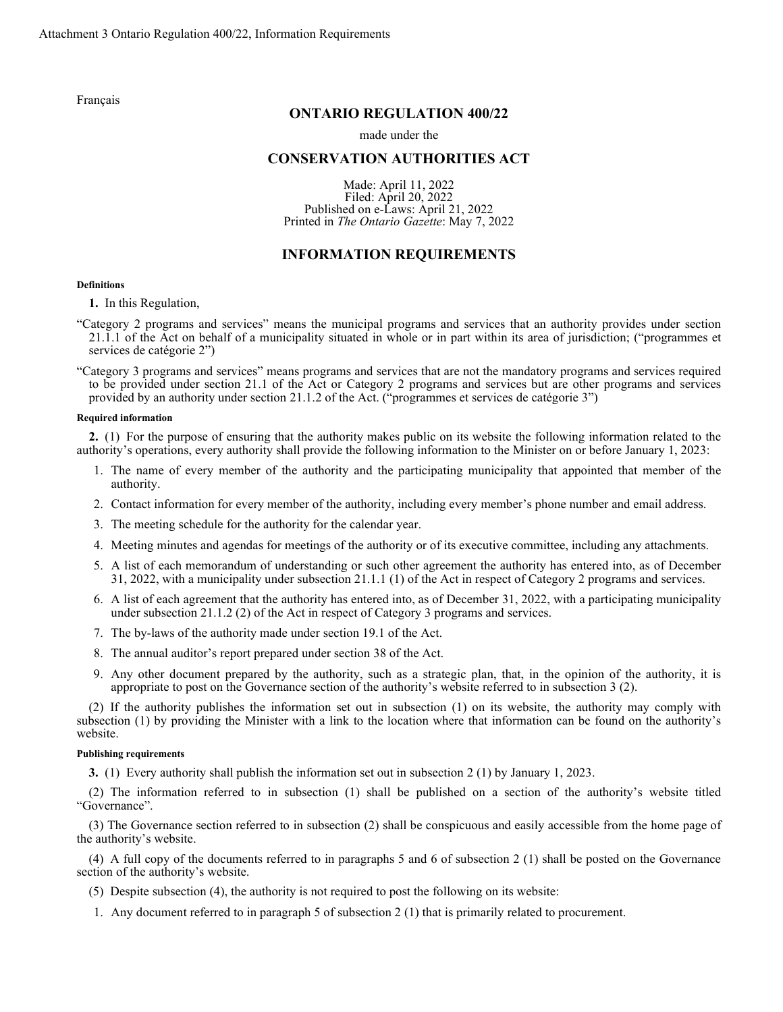<span id="page-0-0"></span>Français

# **ONTARIO REGULATION 400/22**

### made under the

## **CONSERVATION AUTHORITIES ACT**

Made: April 11, 2022 Filed: April 20, 2022 Published on e-Laws: April 21, 2022 Printed in *The Ontario Gazette*: May 7, 2022

### **INFORMATION REQUIREMENTS**

#### **Definitions**

**1.** In this Regulation,

- "Category 2 programs and services" means the municipal programs and services that an authority provides under section 21.1.1 of the Act on behalf of a municipality situated in whole or in part within its area of jurisdiction; ("programmes et services de catégorie 2")
- "Category 3 programs and services" means programs and services that are not the mandatory programs and services required to be provided under section 21.1 of the Act or Category 2 programs and services but are other programs and services provided by an authority under section 21.1.2 of the Act. ("programmes et services de catégorie 3")

#### **Required information**

**2.** (1) For the purpose of ensuring that the authority makes public on its website the following information related to the authority's operations, every authority shall provide the following information to the Minister on or before January 1, 2023:

- 1. The name of every member of the authority and the participating municipality that appointed that member of the authority.
- 2. Contact information for every member of the authority, including every member's phone number and email address.
- 3. The meeting schedule for the authority for the calendar year.
- 4. Meeting minutes and agendas for meetings of the authority or of its executive committee, including any attachments.
- 5. A list of each memorandum of understanding or such other agreement the authority has entered into, as of December 31, 2022, with a municipality under subsection 21.1.1 (1) of the Act in respect of Category 2 programs and services.
- 6. A list of each agreement that the authority has entered into, as of December 31, 2022, with a participating municipality under subsection 21.1.2 (2) of the Act in respect of Category 3 programs and services.
- 7. The by-laws of the authority made under section 19.1 of the Act.
- 8. The annual auditor's report prepared under section 38 of the Act.
- 9. Any other document prepared by the authority, such as a strategic plan, that, in the opinion of the authority, it is appropriate to post on the Governance section of the authority's website referred to in subsection 3 (2).

(2) If the authority publishes the information set out in subsection (1) on its website, the authority may comply with subsection (1) by providing the Minister with a link to the location where that information can be found on the authority's website.

#### **Publishing requirements**

**3.** (1) Every authority shall publish the information set out in subsection 2 (1) by January 1, 2023.

(2) The information referred to in subsection (1) shall be published on a section of the authority's website titled "Governance".

(3) The Governance section referred to in subsection (2) shall be conspicuous and easily accessible from the home page of the authority's website.

(4) A full copy of the documents referred to in paragraphs 5 and 6 of subsection 2 (1) shall be posted on the Governance section of the authority's website.

- (5) Despite subsection (4), the authority is not required to post the following on its website:
- 1. Any document referred to in paragraph 5 of subsection 2 (1) that is primarily related to procurement.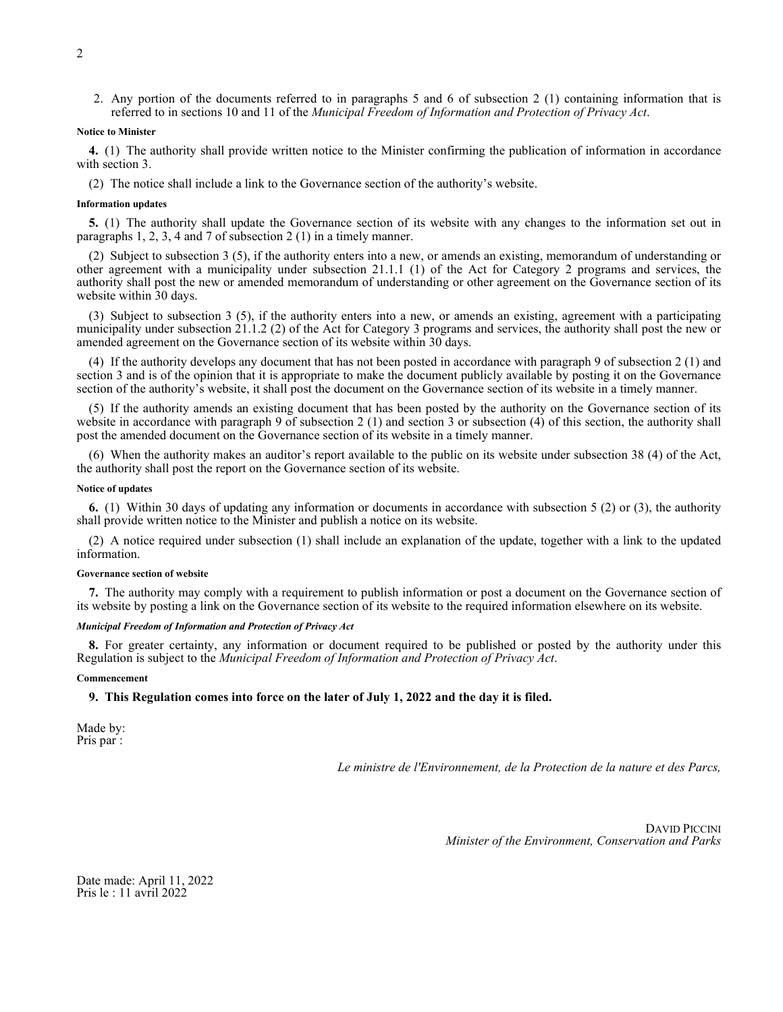2. Any portion of the documents referred to in paragraphs 5 and 6 of subsection 2 (1) containing information that is referred to in sections 10 and 11 of the *Municipal Freedom of Information and Protection of Privacy Act*.

#### **Notice to Minister**

**4.** (1) The authority shall provide written notice to the Minister confirming the publication of information in accordance with section 3.

(2) The notice shall include a link to the Governance section of the authority's website.

#### **Information updates**

**5.** (1) The authority shall update the Governance section of its website with any changes to the information set out in paragraphs 1, 2, 3, 4 and 7 of subsection 2 (1) in a timely manner.

(2) Subject to subsection 3 (5), if the authority enters into a new, or amends an existing, memorandum of understanding or other agreement with a municipality under subsection 21.1.1 (1) of the Act for Category 2 programs and services, the authority shall post the new or amended memorandum of understanding or other agreement on the Governance section of its website within 30 days.

(3) Subject to subsection 3 (5), if the authority enters into a new, or amends an existing, agreement with a participating municipality under subsection 21.1.2 (2) of the Act for Category 3 programs and services, the authority shall post the new or amended agreement on the Governance section of its website within 30 days.

(4) If the authority develops any document that has not been posted in accordance with paragraph 9 of subsection 2 (1) and section 3 and is of the opinion that it is appropriate to make the document publicly available by posting it on the Governance section of the authority's website, it shall post the document on the Governance section of its website in a timely manner.

(5) If the authority amends an existing document that has been posted by the authority on the Governance section of its website in accordance with paragraph 9 of subsection 2 (1) and section 3 or subsection (4) of this section, the authority shall post the amended document on the Governance section of its website in a timely manner.

(6) When the authority makes an auditor's report available to the public on its website under subsection 38 (4) of the Act, the authority shall post the report on the Governance section of its website.

#### **Notice of updates**

**6.** (1) Within 30 days of updating any information or documents in accordance with subsection 5 (2) or (3), the authority shall provide written notice to the Minister and publish a notice on its website.

(2) A notice required under subsection (1) shall include an explanation of the update, together with a link to the updated information.

#### **Governance section of website**

**7.** The authority may comply with a requirement to publish information or post a document on the Governance section of its website by posting a link on the Governance section of its website to the required information elsewhere on its website.

#### *Municipal Freedom of Information and Protection of Privacy Act*

**8.** For greater certainty, any information or document required to be published or posted by the authority under this Regulation is subject to the *Municipal Freedom of Information and Protection of Privacy Act*.

#### **Commencement**

**9. This Regulation comes into force on the later of July 1, 2022 and the day it is filed.**

Made by: Pris par :

*Le ministre de l'Environnement, de la Protection de la nature et des Parcs,*

DAVID PICCINI *Minister of the Environment, Conservation and Parks*

Date made: April 11, 2022 Pris le : 11 avril 2022